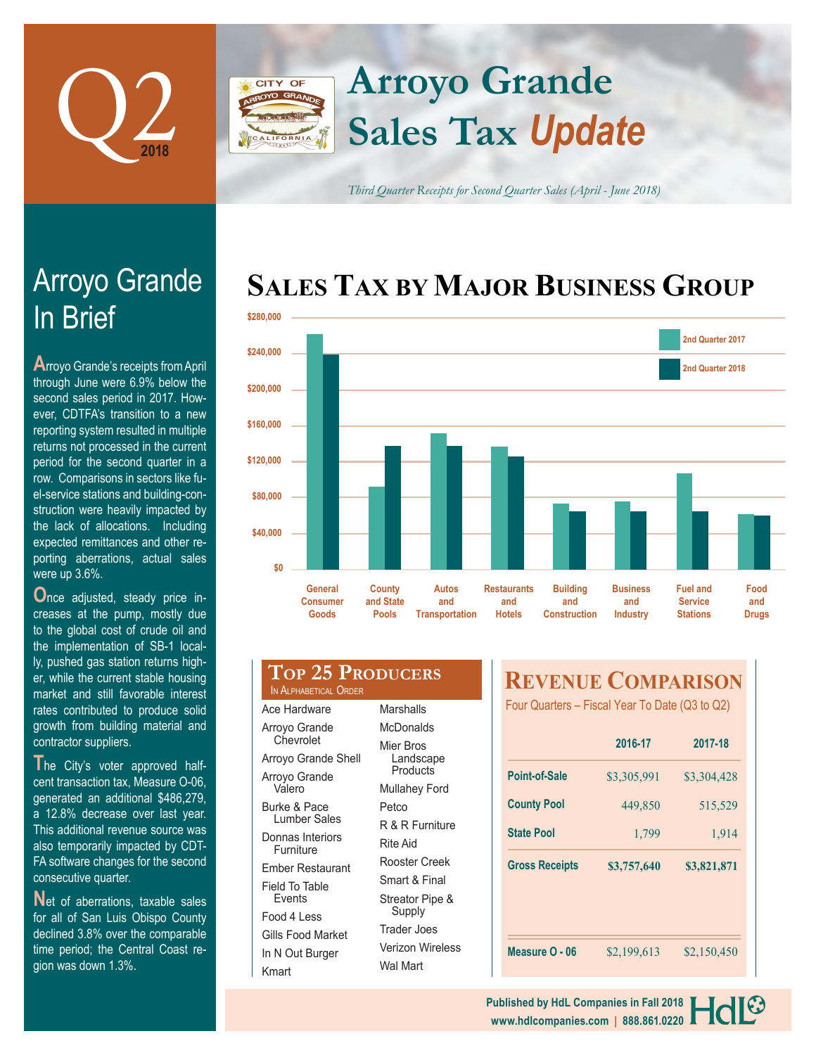

Arroyo Grande

**A**rroyo Grande's receipts from April through June were 6.9% below the second sales period in 2017. However, CDTFA's transition to a new reporting system resulted in multiple returns not processed in the current

contractor suppliers.

In Brief

# **Arroyo Grande CITY OF Sales Tax** *Update*

*Third Quarter Receipts for Second Quarter Sales (April - June 2018)*

# **SALES TAX BY MAJOR BUSINESS GROUP**



| period for the second quarter in a<br>row. Comparisons in sectors like fu-<br>el-service stations and building-con-<br>struction were heavily impacted by<br>the lack of allocations. Including<br>expected remittances and other re-<br>porting aberrations, actual sales<br>were up 3.6%. | \$120,000<br>\$80,000<br>\$40,000<br>\$0 |                                                                                                                    |                                     |                                              |                                            |                                               |
|---------------------------------------------------------------------------------------------------------------------------------------------------------------------------------------------------------------------------------------------------------------------------------------------|------------------------------------------|--------------------------------------------------------------------------------------------------------------------|-------------------------------------|----------------------------------------------|--------------------------------------------|-----------------------------------------------|
| Once adjusted, steady price in-<br>creases at the pump, mostly due<br>to the global cost of crude oil and<br>the implementation of SB-1 local-                                                                                                                                              |                                          | General<br><b>Consumer</b><br>Goods                                                                                | County<br>and State<br><b>Pools</b> | <b>Autos</b><br>and<br><b>Transportation</b> | <b>Restaurants</b><br>and<br><b>Hotels</b> | <b>Building</b><br>and<br><b>Construction</b> |
| ly, pushed gas station returns high-<br>er, while the current stable housing<br>market and still favorable interest<br>rates contributed to produce solid<br>growth from building material and                                                                                              |                                          | <b>TOP 25 PRODUCERS</b><br>IN ALPHABETICAL ORDER<br>Ace Hardware<br>Marshalls<br>Arroyo Grande<br><b>McDonalds</b> |                                     |                                              |                                            | <b>REVENUE</b><br>Four Quarters - Fisc        |

**T**he City's voter approved halfcent transaction tax, Measure O-06, generated an additional \$486,279, a 12.8% decrease over last year. This additional revenue source was also temporarily impacted by CDT-FA software changes for the second consecutive quarter.

Net of aberrations, taxable sales for all of San Luis Obispo County declined 3.8% over the comparable time period; the Central Coast region was down 1.3%.

|                                                | IN ALPHABETICAL URDER         |                                    |  |  |
|------------------------------------------------|-------------------------------|------------------------------------|--|--|
|                                                | Ace Hardware                  | Marshalls                          |  |  |
|                                                | Arroyo Grande<br>Chevrolet    | McDonalds                          |  |  |
| Arroyo Grande Shell<br>Arroyo Grande<br>Valero |                               | Mier Bros<br>Landscape<br>Products |  |  |
|                                                |                               | <b>Mullahey Ford</b>               |  |  |
|                                                | Burke & Pace                  | Petco                              |  |  |
| Lumber Sales                                   |                               | R & R Furniture                    |  |  |
|                                                | Donnas Interiors<br>Furniture | Rite Aid<br>Rooster Creek          |  |  |
|                                                | Ember Restaurant              |                                    |  |  |
| Field To Table                                 |                               | Smart & Final                      |  |  |
|                                                | <b>Fvents</b><br>Food 4 Less  | Streator Pipe &<br>Supply          |  |  |
|                                                |                               | Trader Joes                        |  |  |
| Gills Food Market<br>In N Out Burger<br>Kmart  |                               | Verizon Wireless<br>Wal Mart       |  |  |
|                                                |                               |                                    |  |  |

# **COMPARISON**

 $cal$  Year To Date (Q3 to Q2)

|                       | 2016-17     | 2017-18     |  |
|-----------------------|-------------|-------------|--|
| Point-of-Sale         | \$3,305,991 | \$3,304,428 |  |
| <b>County Pool</b>    | 449,850     | 515,529     |  |
| <b>State Pool</b>     | 1,799       | 1,914       |  |
| <b>Gross Receipts</b> | \$3,757,640 | \$3,821,871 |  |
|                       |             |             |  |
|                       |             |             |  |
|                       |             |             |  |

**www.hdlcompanies.com | 888.861.0220 Published by HdL Companies in Fall 2018**